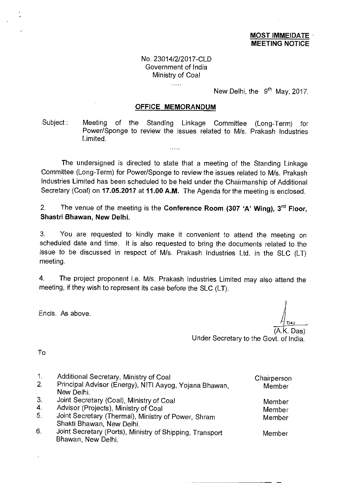## **MOST IMMEIDATE • MEETING NOTICE**

No. 23014/2/2017-CLD Government of India Ministry of Coal

 $\ldots$ 

New Delhi, the  $9<sup>th</sup>$  May, 2017.

## **OFFICE MEMORANDUM**

Subject : Meeting of the Standing Linkage Committee (Long-Term) for Power/Sponge to review the issues related to M/s. Prakash Industries Limited.

The undersigned is directed to state that a meeting of the Standing Linkage Committee (Long-Term) for Power/Sponge to review the issues related to M/s. Prakash Industries Limited has been scheduled to be held under the Chairmanship of Additional Secretary (Coal) on **17.05.2017** at **11.00 A.M.** The Agenda for the meeting is enclosed.

2. The venue of the meeting is the **Conference Room (307 'A' Wing), 3<sup>rd</sup> Floor, Shastri Bhawan, New Delhi.** 

3. You are requested to kindly make it convenient to attend the meeting on scheduled date and time. It is also requested to bring the documents related to the issue to be discussed in respect of M/s. Prakash Industries Ltd. in the SLC (LT) meeting.

4. The project proponent i.e. M/s. Prakash Industries Limited may also attend the meeting, if they wish to represent its case before the SLC (LT).

Ends. As above.

DA)

(. Das) Under Secretary to the Govt. of India.

To

| 1. | Additional Secretary, Ministry of Coal                   | Chairperson |
|----|----------------------------------------------------------|-------------|
| 2. | Principal Advisor (Energy), NITI Aayog, Yojana Bhawan,   | Member      |
|    | New Delhi.                                               |             |
| 3. | Joint Secretary (Coal), Ministry of Coal                 | Member      |
| 4. | Advisor (Projects), Ministry of Coal                     | Member      |
| 5. | Joint Secretary (Thermal), Ministry of Power, Shram      | Member      |
|    | Shakti Bhawan, New Delhi.                                |             |
| 6. | Joint Secretary (Ports), Ministry of Shipping, Transport | Member      |
|    | Bhawan, New Delhi.                                       |             |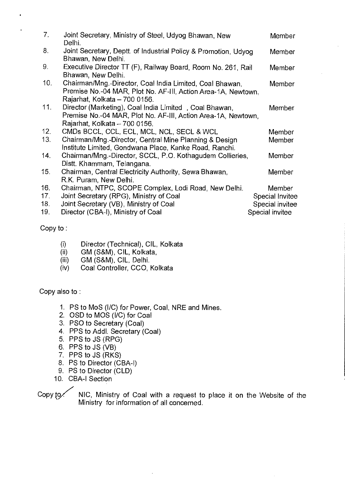| 7.  | Joint Secretary, Ministry of Steel, Udyog Bhawan, New<br>Delhi.                                                                                            | Member          |
|-----|------------------------------------------------------------------------------------------------------------------------------------------------------------|-----------------|
| 8.  | Joint Secretary, Deptt. of Industrial Policy & Promotion, Udyog<br>Bhawan, New Delhi.                                                                      | Member          |
| 9.  | Executive Director TT (F), Railway Board, Room No. 261, Rail<br>Bhawan, New Delhi.                                                                         | Member          |
| 10. | Chairman/Mng.-Director, Coal India Limited, Coal Bhawan,<br>Premise No.-04 MAR, Plot No. AF-III, Action Area-1A, Newtown,<br>Rajarhat, Kolkata - 700 0156. | <b>Member</b>   |
| 11. | Director (Marketing), Coal India Limited, Coal Bhawan,<br>Premise No.-04 MAR, Plot No. AF-III, Action Area-1A, Newtown,<br>Rajarhat, Kolkata - 700 0156.   | Member          |
| 12. | CMDs BCCL, CCL, ECL, MCL, NCL, SECL & WCL                                                                                                                  | Member          |
| 13. | Chairman/Mng.-Director, Central Mine Planning & Design<br>Institute Limited, Gondwana Place, Kanke Road, Ranchi.                                           | <b>Member</b>   |
| 14. | Chairman/Mng.-Director, SCCL, P.O. Kothagudem Collieries,<br>Distt. Khammam, Telangana.                                                                    | Member          |
| 15. | Chairman, Central Electricity Authority, Sewa Bhawan,<br>R.K. Puram, New Delhi.                                                                            | Member          |
| 16. | Chairman, NTPC, SCOPE Complex, Lodi Road, New Delhi.                                                                                                       | Member          |
| 17. | Joint Secretary (RPG), Ministry of Coal                                                                                                                    | Special Invitee |
| 18. | Joint Secretary (VB), Ministry of Coal                                                                                                                     | Special invitee |
| 19. | Director (CBA-I), Ministry of Coal                                                                                                                         | Special invitee |

Copy to :

- (i) Director (Technical), CIL, Kolkata
- (ii) GM (S&M), CIL, Kolkata,
- (iii) GM (S&M), CIL, Delhi.
- (iv) Coal Controller, CCO, Kolkata

Copy also to :

- 1. PS to MoS (I/C) for Power, Coal, NRE and Mines.
- 2. OSD to MOS (I/C) for Coal
- 3. PSO to Secretary (Coal)
- 4. PPS to Addl. Secretary (Coal)
- 5. PPS to JS (RPG)
- 6. PPS to JS (VB)
- 7. PPS to JS (RKS)
- 8. PS to Director (CBA-I)
- 9. PS to Director (CLD)
- 10. CBA-I Section

Copy  $\{\infty$  NIC, Ministry of Coal with a request to place it on the Website of the Ministry for information of all concerned.